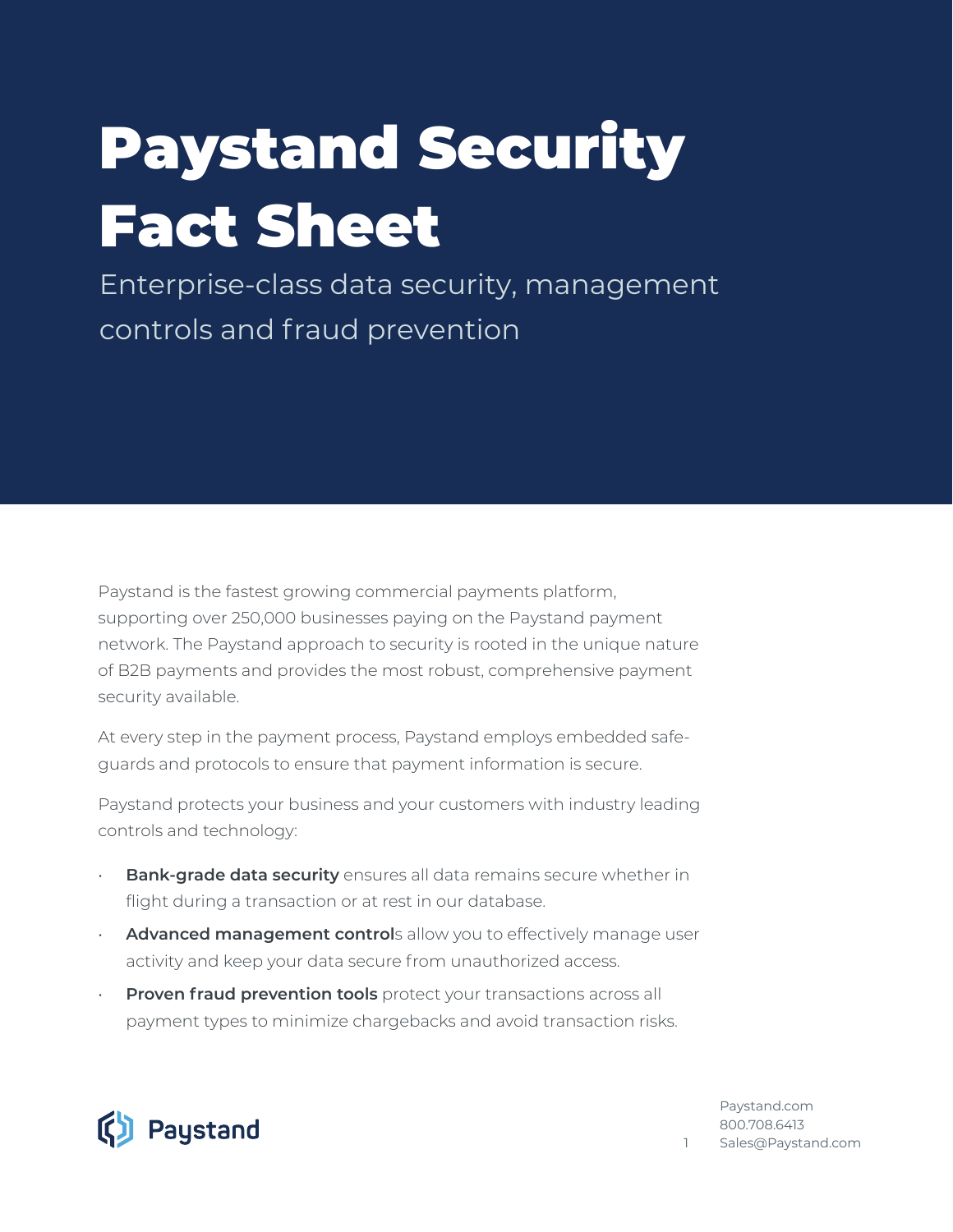# Paystand Security Fact Sheet

Enterprise-class data security, management controls and fraud prevention

Paystand is the fastest growing commercial payments platform, supporting over 250,000 businesses paying on the Paystand payment network. The Paystand approach to security is rooted in the unique nature of B2B payments and provides the most robust, comprehensive payment security available.

At every step in the payment process, Paystand employs embedded safeguards and protocols to ensure that payment information is secure.

Paystand protects your business and your customers with industry leading controls and technology:

- **Bank-grade data security** ensures all data remains secure whether in flight during a transaction or at rest in our database.
- **Advanced management control**s allow you to effectively manage user activity and keep your data secure from unauthorized access.
- **Proven fraud prevention tools** protect your transactions across all payment types to minimize chargebacks and avoid transaction risks.



P[aystand.com](https://paystand.com)  800.708.6413 1 S[ales@Paystand.com](mailto://sales@paystand.com)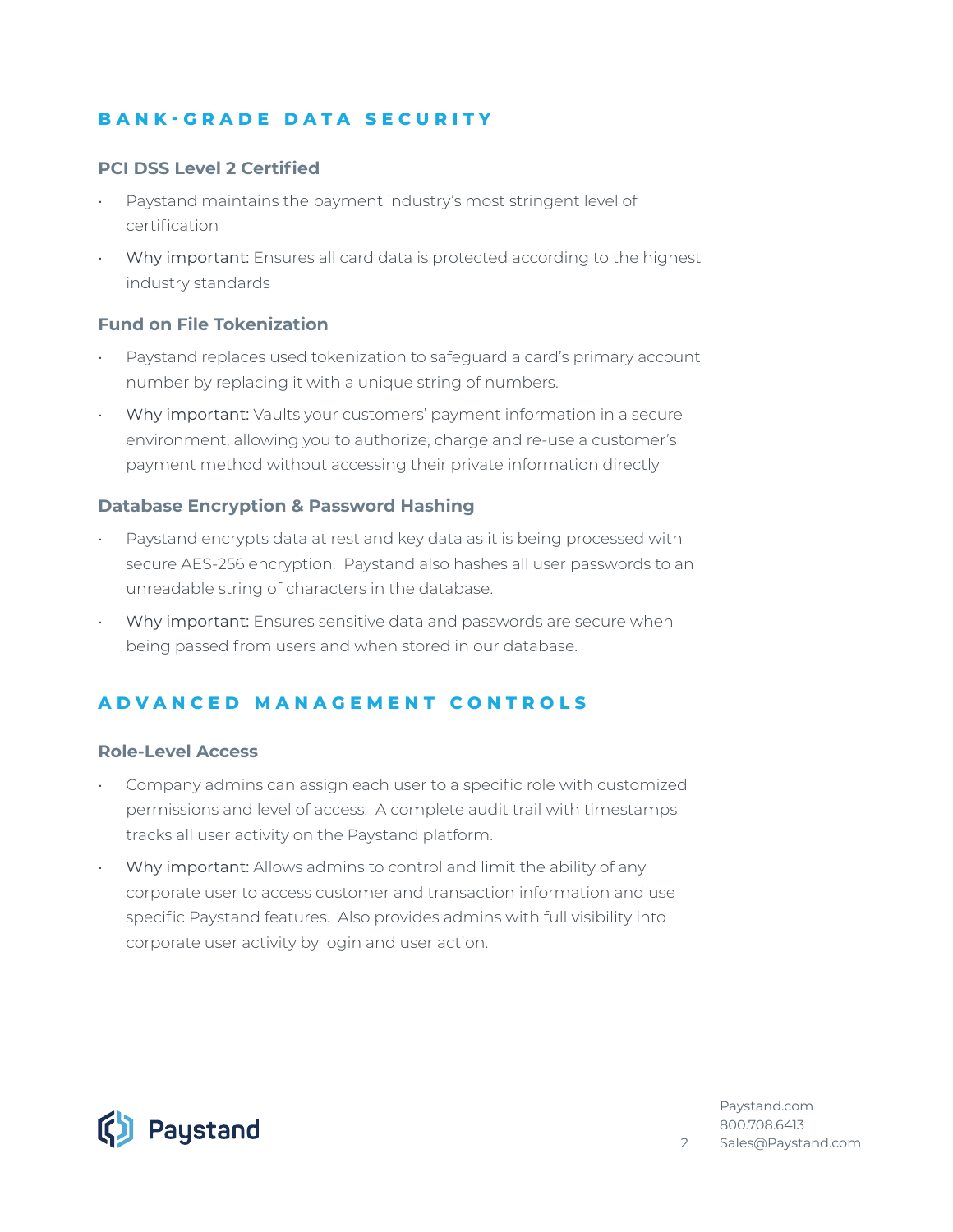## **BANK-GRADE DATA SECURITY**

#### **PCI DSS Level 2 Certified**

- Paystand maintains the payment industry's most stringent level of certification
- Why important: Ensures all card data is protected according to the highest industry standards

#### **Fund on File Tokenization**

- Paystand replaces used tokenization to safeguard a card's primary account number by replacing it with a unique string of numbers.
- Why important: Vaults your customers' payment information in a secure environment, allowing you to authorize, charge and re-use a customer's payment method without accessing their private information directly

#### **Database Encryption & Password Hashing**

- Paystand encrypts data at rest and key data as it is being processed with secure AES-256 encryption. Paystand also hashes all user passwords to an unreadable string of characters in the database.
- Why important: Ensures sensitive data and passwords are secure when being passed from users and when stored in our database.

## **ADVANCED MANAGEMENT CONTROLS**

#### **Role-Level Access**

- Company admins can assign each user to a specific role with customized permissions and level of access. A complete audit trail with timestamps tracks all user activity on the Paystand platform.
- Why important: Allows admins to control and limit the ability of any corporate user to access customer and transaction information and use specific Paystand features. Also provides admins with full visibility into corporate user activity by login and user action.



P[aystand.com](https://paystand.com) 800.708.6413 2 S[ales@Paystand.com](mailto://sales@paystand.com)